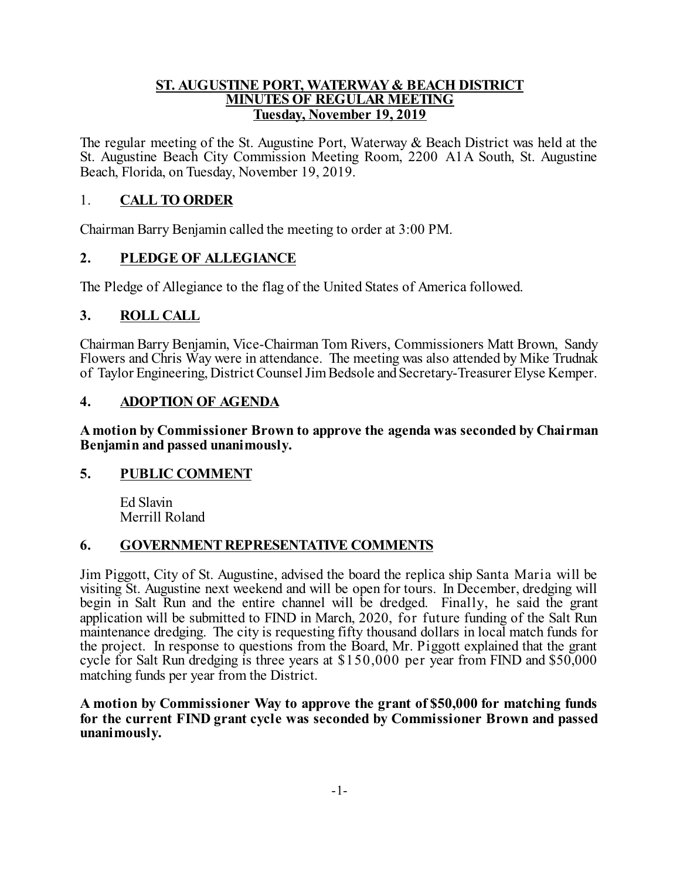#### **ST. AUGUSTINE PORT, WATERWAY & BEACH DISTRICT MINUTES OF REGULAR MEETING Tuesday, November 19, 2019**

The regular meeting of the St. Augustine Port, Waterway & Beach District was held at the St. Augustine Beach City Commission Meeting Room, 2200 A1A South, St. Augustine Beach, Florida, on Tuesday, November 19, 2019.

### 1. **CALL TO ORDER**

Chairman Barry Benjamin called the meeting to order at 3:00 PM.

#### **2. PLEDGE OF ALLEGIANCE**

The Pledge of Allegiance to the flag of the United States of America followed.

#### **3. ROLL CALL**

Chairman Barry Benjamin, Vice-Chairman Tom Rivers, Commissioners Matt Brown, Sandy Flowers and Chris Way were in attendance. The meeting was also attended by Mike Trudnak of Taylor Engineering, District Counsel Jim Bedsole and Secretary-Treasurer Elyse Kemper.

#### **4. ADOPTION OF AGENDA**

**A motion by Commissioner Brown to approve the agenda was seconded by Chairman Benjamin and passed unanimously.**

#### **5. PUBLIC COMMENT**

Ed Slavin Merrill Roland

## **6. GOVERNMENTREPRESENTATIVE COMMENTS**

Jim Piggott, City of St. Augustine, advised the board the replica ship Santa Maria will be visiting St. Augustine next weekend and will be open for tours. In December, dredging will begin in Salt Run and the entire channel will be dredged. Finally, he said the grant application will be submitted to FIND in March, 2020, for future funding of the Salt Run maintenance dredging. The city is requesting fifty thousand dollars in local match funds for the project. In response to questions from the Board, Mr. Piggott explained that the grant cycle for Salt Run dredging is three years at \$150,000 per year from FIND and \$50,000 matching funds per year from the District.

**A motion by Commissioner Way to approve the grant of \$50,000 for matching funds for the current FIND grant cycle was seconded by Commissioner Brown and passed unanimously.**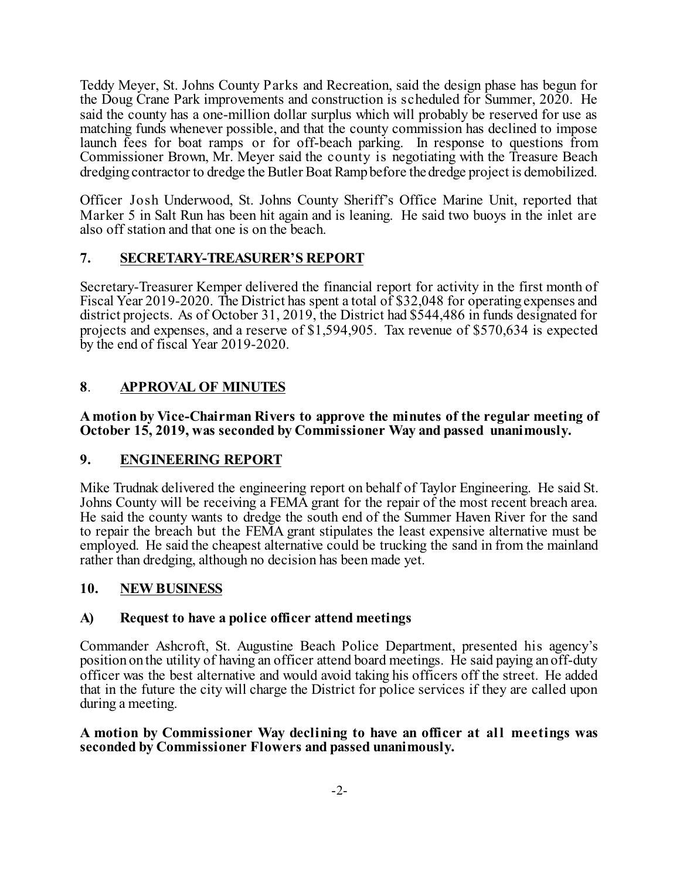Teddy Meyer, St. Johns County Parks and Recreation, said the design phase has begun for the Doug Crane Park improvements and construction is scheduled for Summer, 2020. He said the county has a one-million dollar surplus which will probably be reserved for use as matching funds whenever possible, and that the county commission has declined to impose launch fees for boat ramps or for off-beach parking. In response to questions from Commissioner Brown, Mr. Meyer said the county is negotiating with the Treasure Beach dredging contractor to dredge the Butler Boat Ramp before the dredge project is demobilized.

Officer Josh Underwood, St. Johns County Sheriff's Office Marine Unit, reported that Marker 5 in Salt Run has been hit again and is leaning. He said two buoys in the inlet are also off station and that one is on the beach.

## **7. SECRETARY-TREASURER'S REPORT**

Secretary-Treasurer Kemper delivered the financial report for activity in the first month of Fiscal Year 2019-2020. The District has spent a total of \$32,048 for operating expenses and district projects. As of October 31, 2019, the District had \$544,486 in funds designated for projects and expenses, and a reserve of \$1,594,905. Tax revenue of \$570,634 is expected by the end of fiscal Year 2019-2020.

# **8**. **APPROVAL OF MINUTES**

**A motion by Vice-Chairman Rivers to approve the minutes of the regular meeting of October 15, 2019, was seconded by Commissioner Way and passed unanimously.**

## **9. ENGINEERING REPORT**

Mike Trudnak delivered the engineering report on behalf of Taylor Engineering. He said St. Johns County will be receiving a FEMA grant for the repair of the most recent breach area. He said the county wants to dredge the south end of the Summer Haven River for the sand to repair the breach but the FEMA grant stipulates the least expensive alternative must be employed. He said the cheapest alternative could be trucking the sand in from the mainland rather than dredging, although no decision has been made yet.

## **10. NEWBUSINESS**

## **A) Request to have a police officer attend meetings**

Commander Ashcroft, St. Augustine Beach Police Department, presented his agency's position on the utility of having an officer attend board meetings. He said paying an off-duty officer was the best alternative and would avoid taking his officers off the street. He added that in the future the city will charge the District for police services if they are called upon during a meeting.

**A motion by Commissioner Way declining to have an officer at all meetings was seconded by Commissioner Flowers and passed unanimously.**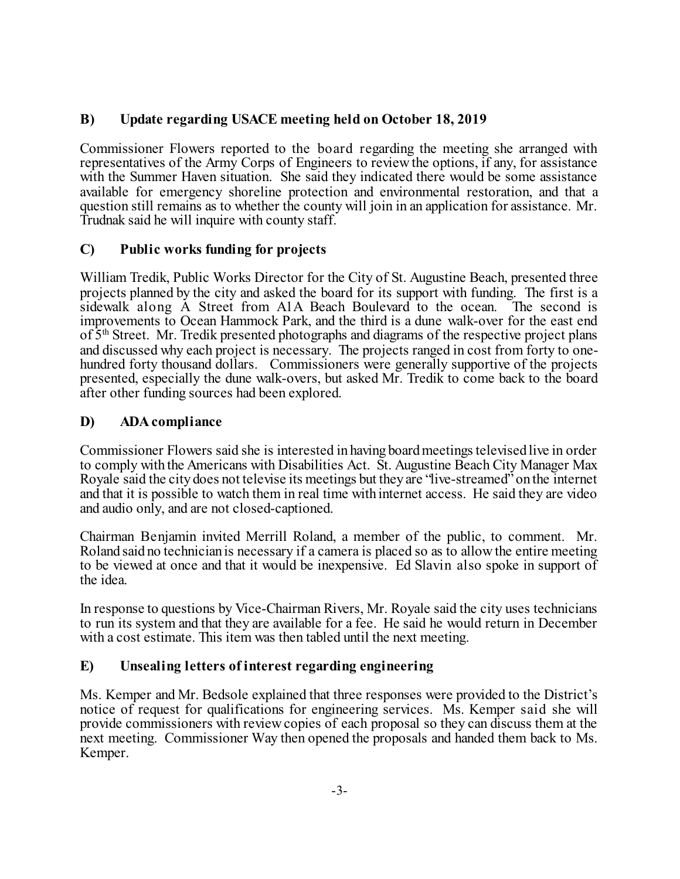## **B) Update regarding USACE meeting held on October 18, 2019**

Commissioner Flowers reported to the board regarding the meeting she arranged with representatives of the Army Corps of Engineers to reviewthe options, if any, for assistance with the Summer Haven situation. She said they indicated there would be some assistance available for emergency shoreline protection and environmental restoration, and that a question still remains as to whether the county will join in an application for assistance. Mr. Trudnak said he will inquire with county staff.

## **C) Public works funding for projects**

William Tredik, Public Works Director for the City of St. Augustine Beach, presented three projects planned by the city and asked the board for its support with funding. The first is a sidewalk along A Street from A1A Beach Boulevard to the ocean. The second is improvements to Ocean Hammock Park, and the third is a dune walk-over for the east end of  $5<sup>th</sup>$  Street. Mr. Tredik presented photographs and diagrams of the respective project plans and discussed why each project is necessary. The projects ranged in cost from forty to onehundred forty thousand dollars. Commissioners were generally supportive of the projects presented, especially the dune walk-overs, but asked Mr. Tredik to come back to the board after other funding sources had been explored.

## **D) ADAcompliance**

Commissioner Flowers said she is interested in having board meetings televised live in order to comply with the Americans with Disabilities Act. St. Augustine Beach City Manager Max Royale said the city does not televise its meetings but they are "live-streamed" on the internet and that it is possible to watch them in real time with internet access. He said they are video and audio only, and are not closed-captioned.

Chairman Benjamin invited Merrill Roland, a member of the public, to comment. Mr. Roland said no technician is necessary if a camera is placed so as to allowthe entire meeting to be viewed at once and that it would be inexpensive. Ed Slavin also spoke in support of the idea.

In response to questions by Vice-Chairman Rivers, Mr. Royale said the city uses technicians to run its system and that they are available for a fee. He said he would return in December with a cost estimate. This item was then tabled until the next meeting.

## **E) Unsealing letters of interest regarding engineering**

Ms. Kemper and Mr. Bedsole explained that three responses were provided to the District's notice of request for qualifications for engineering services. Ms. Kemper said she will provide commissioners with reviewcopies of each proposal so they can discuss them at the next meeting. Commissioner Way then opened the proposals and handed them back to Ms. Kemper.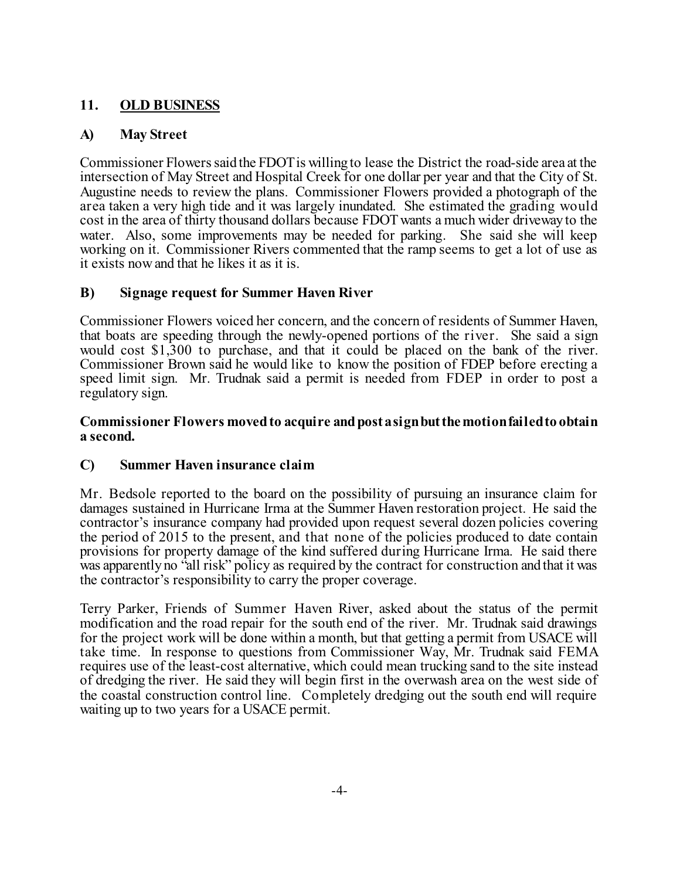## **11. OLD BUSINESS**

## **A) May Street**

Commissioner Flowerssaid the FDOTis willing to lease the District the road-side area at the intersection of May Street and Hospital Creek for one dollar per year and that the City of St. Augustine needs to review the plans. Commissioner Flowers provided a photograph of the area taken a very high tide and it was largely inundated. She estimated the grading would cost in the area of thirty thousand dollars because FDOT wants a much wider driveway to the water. Also, some improvements may be needed for parking. She said she will keep working on it. Commissioner Rivers commented that the ramp seems to get a lot of use as it exists nowand that he likes it as it is.

## **B) Signage request for Summer Haven River**

Commissioner Flowers voiced her concern, and the concern of residents of Summer Haven, that boats are speeding through the newly-opened portions of the river. She said a sign would cost \$1,300 to purchase, and that it could be placed on the bank of the river. Commissioner Brown said he would like to know the position of FDEP before erecting a speed limit sign. Mr. Trudnak said a permit is needed from FDEP in order to post a regulatory sign.

#### **Commissioner Flowers movedto acquire andpost asignbutthemotionfailedto obtain a second.**

## **C) Summer Haven insurance claim**

Mr. Bedsole reported to the board on the possibility of pursuing an insurance claim for damages sustained in Hurricane Irma at the Summer Haven restoration project. He said the contractor's insurance company had provided upon request several dozen policies covering the period of 2015 to the present, and that none of the policies produced to date contain provisions for property damage of the kind suffered during Hurricane Irma. He said there was apparently no "all risk" policy as required by the contract for construction and that it was the contractor's responsibility to carry the proper coverage.

Terry Parker, Friends of Summer Haven River, asked about the status of the permit modification and the road repair for the south end of the river. Mr. Trudnak said drawings for the project work will be done within a month, but that getting a permit from USACE will take time. In response to questions from Commissioner Way, Mr. Trudnak said FEMA requires use of the least-cost alternative, which could mean trucking sand to the site instead of dredging the river. He said they will begin first in the overwash area on the west side of the coastal construction control line. Completely dredging out the south end will require waiting up to two years for a USACE permit.